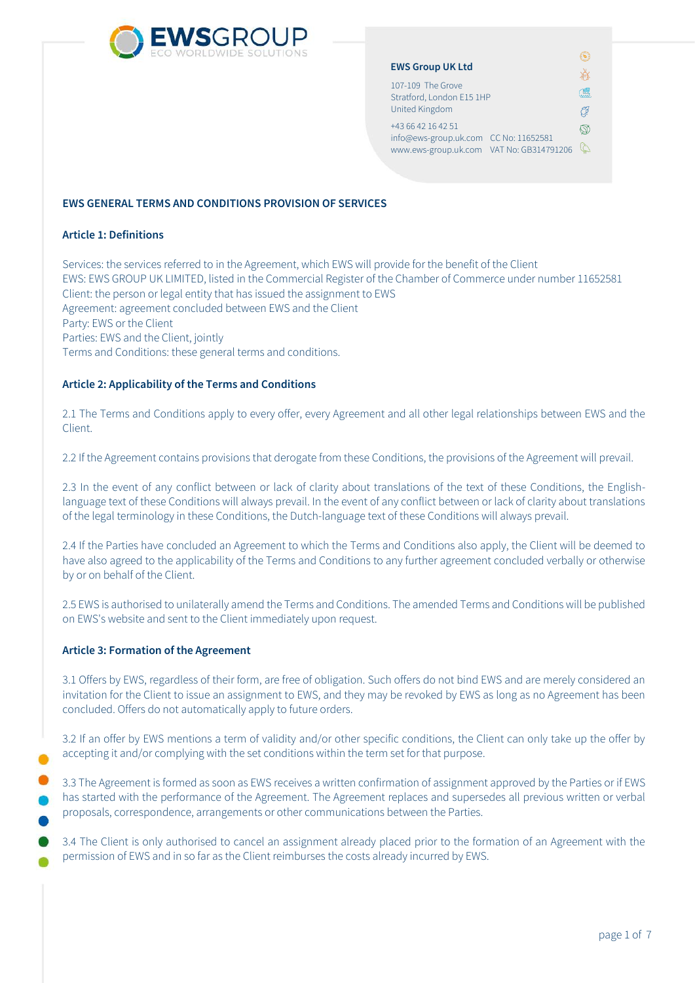

| <b>EWS Group UK Ltd</b>                                                                                 |      |
|---------------------------------------------------------------------------------------------------------|------|
| 107-109 The Grove<br>Stratford, London E15 1HP<br>United Kingdom                                        | 16 g |
| +43 66 42 16 42 51<br>info@ews-group.uk.com CC No: 11652581<br>www.ews-group.uk.com VAT No: GB314791206 | Ö    |

### **EWS GENERAL TERMS AND CONDITIONS PROVISION OF SERVICES**

### **Article 1: Definitions**

Services: the services referred to in the Agreement, which EWS will provide for the benefit of the Client EWS: EWS GROUP UK LIMITED, listed in the Commercial Register of the Chamber of Commerce under number 11652581 Client: the person or legal entity that has issued the assignment to EWS Agreement: agreement concluded between EWS and the Client Party: EWS or the Client Parties: EWS and the Client, jointly Terms and Conditions: these general terms and conditions.

### **Article 2: Applicability of the Terms and Conditions**

2.1 The Terms and Conditions apply to every offer, every Agreement and all other legal relationships between EWS and the Client.

2.2 If the Agreement contains provisions that derogate from these Conditions, the provisions of the Agreement will prevail.

2.3 In the event of any conflict between or lack of clarity about translations of the text of these Conditions, the Englishlanguage text of these Conditions will always prevail. In the event of any conflict between or lack of clarity about translations of the legal terminology in these Conditions, the Dutch-language text of these Conditions will always prevail.

2.4 If the Parties have concluded an Agreement to which the Terms and Conditions also apply, the Client will be deemed to have also agreed to the applicability of the Terms and Conditions to any further agreement concluded verbally or otherwise by or on behalf of the Client.

2.5 EWS is authorised to unilaterally amend the Terms and Conditions. The amended Terms and Conditions will be published on EWS's website and sent to the Client immediately upon request.

#### **Article 3: Formation of the Agreement**

3.1 Offers by EWS, regardless of their form, are free of obligation. Such offers do not bind EWS and are merely considered an invitation for the Client to issue an assignment to EWS, and they may be revoked by EWS as long as no Agreement has been concluded. Offers do not automatically apply to future orders.

3.2 If an offer by EWS mentions a term of validity and/or other specific conditions, the Client can only take up the offer by accepting it and/or complying with the set conditions within the term set for that purpose.

3.3 The Agreement is formed as soon as EWS receives a written confirmation of assignment approved by the Parties or if EWS has started with the performance of the Agreement. The Agreement replaces and supersedes all previous written or verbal proposals, correspondence, arrangements or other communications between the Parties.

3.4 The Client is only authorised to cancel an assignment already placed prior to the formation of an Agreement with the permission of EWS and in so far as the Client reimburses the costs already incurred by EWS.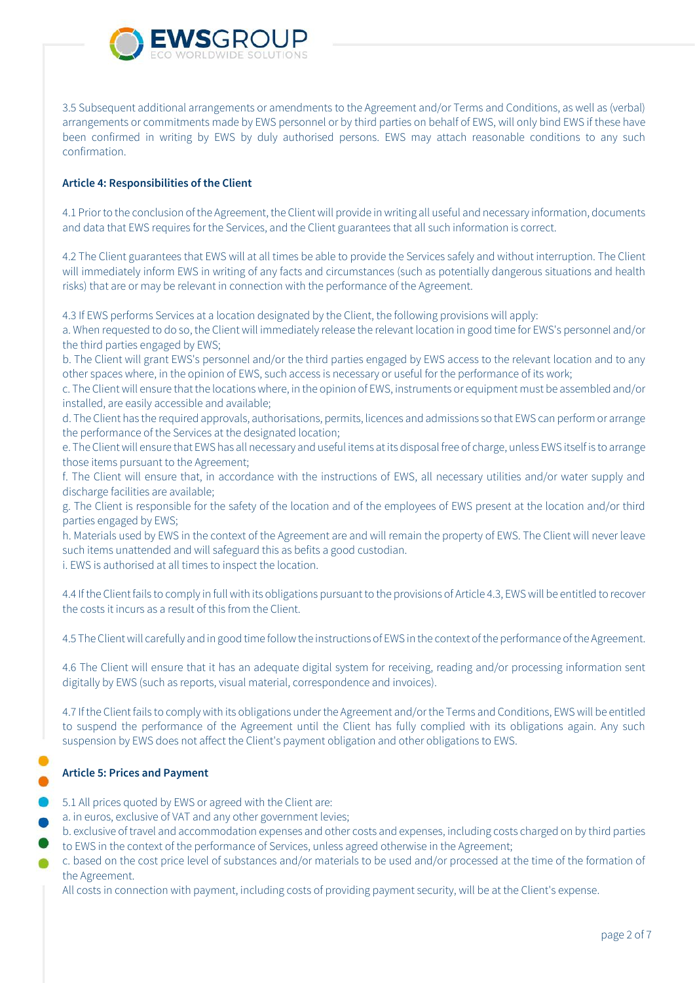

3.5 Subsequent additional arrangements or amendments to the Agreement and/or Terms and Conditions, as well as (verbal) arrangements or commitments made by EWS personnel or by third parties on behalf of EWS, will only bind EWS if these have been confirmed in writing by EWS by duly authorised persons. EWS may attach reasonable conditions to any such confirmation.

# **Article 4: Responsibilities of the Client**

4.1 Prior to the conclusion of the Agreement, the Client will provide in writing all useful and necessary information, documents and data that EWS requires for the Services, and the Client guarantees that all such information is correct.

4.2 The Client guarantees that EWS will at all times be able to provide the Services safely and without interruption. The Client will immediately inform EWS in writing of any facts and circumstances (such as potentially dangerous situations and health risks) that are or may be relevant in connection with the performance of the Agreement.

4.3 If EWS performs Services at a location designated by the Client, the following provisions will apply:

a. When requested to do so, the Client will immediately release the relevant location in good time for EWS's personnel and/or the third parties engaged by EWS;

b. The Client will grant EWS's personnel and/or the third parties engaged by EWS access to the relevant location and to any other spaces where, in the opinion of EWS, such access is necessary or useful for the performance of its work;

c. The Client will ensure that the locations where, in the opinion of EWS, instruments or equipment must be assembled and/or installed, are easily accessible and available;

d. The Client has the required approvals, authorisations, permits, licences and admissions so that EWS can perform or arrange the performance of the Services at the designated location;

e. The Client will ensure that EWS has all necessary and useful items at its disposal free of charge, unless EWS itself is to arrange those items pursuant to the Agreement;

f. The Client will ensure that, in accordance with the instructions of EWS, all necessary utilities and/or water supply and discharge facilities are available;

g. The Client is responsible for the safety of the location and of the employees of EWS present at the location and/or third parties engaged by EWS;

h. Materials used by EWS in the context of the Agreement are and will remain the property of EWS. The Client will never leave such items unattended and will safeguard this as befits a good custodian.

i. EWS is authorised at all times to inspect the location.

4.4 If the Client fails to comply in full with its obligations pursuant to the provisions of Article 4.3, EWS will be entitled to recover the costs it incurs as a result of this from the Client.

4.5 The Client will carefully and in good time follow the instructions of EWS in the context of the performance of the Agreement.

4.6 The Client will ensure that it has an adequate digital system for receiving, reading and/or processing information sent digitally by EWS (such as reports, visual material, correspondence and invoices).

4.7 If the Client fails to comply with its obligations under the Agreement and/or the Terms and Conditions, EWS will be entitled to suspend the performance of the Agreement until the Client has fully complied with its obligations again. Any such suspension by EWS does not affect the Client's payment obligation and other obligations to EWS.

## **Article 5: Prices and Payment**

- 5.1 All prices quoted by EWS or agreed with the Client are:
- a. in euros, exclusive of VAT and any other government levies;
- b. exclusive of travel and accommodation expenses and other costs and expenses, including costs charged on by third parties
- to EWS in the context of the performance of Services, unless agreed otherwise in the Agreement;
- c. based on the cost price level of substances and/or materials to be used and/or processed at the time of the formation of the Agreement.

All costs in connection with payment, including costs of providing payment security, will be at the Client's expense.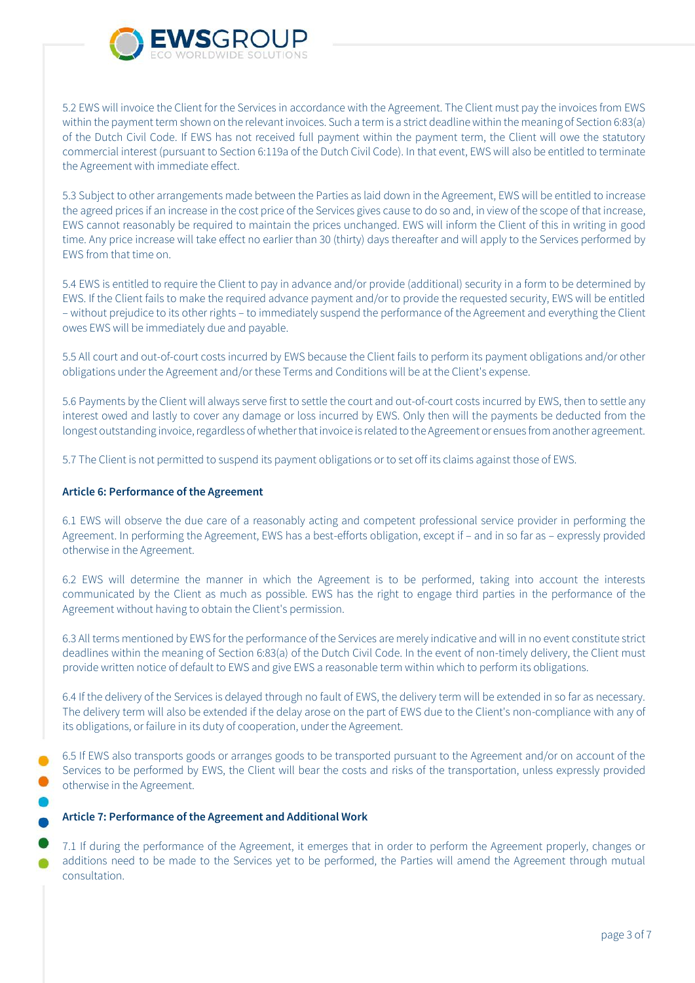

5.2 EWS will invoice the Client for the Services in accordance with the Agreement. The Client must pay the invoices from EWS within the payment term shown on the relevant invoices. Such a term is a strict deadline within the meaning of Section 6:83(a) of the Dutch Civil Code. If EWS has not received full payment within the payment term, the Client will owe the statutory commercial interest (pursuant to Section 6:119a of the Dutch Civil Code). In that event, EWS will also be entitled to terminate the Agreement with immediate effect.

5.3 Subject to other arrangements made between the Parties as laid down in the Agreement, EWS will be entitled to increase the agreed prices if an increase in the cost price of the Services gives cause to do so and, in view of the scope of that increase, EWS cannot reasonably be required to maintain the prices unchanged. EWS will inform the Client of this in writing in good time. Any price increase will take effect no earlier than 30 (thirty) days thereafter and will apply to the Services performed by EWS from that time on.

5.4 EWS is entitled to require the Client to pay in advance and/or provide (additional) security in a form to be determined by EWS. If the Client fails to make the required advance payment and/or to provide the requested security, EWS will be entitled – without prejudice to its other rights – to immediately suspend the performance of the Agreement and everything the Client owes EWS will be immediately due and payable.

5.5 All court and out-of-court costs incurred by EWS because the Client fails to perform its payment obligations and/or other obligations under the Agreement and/or these Terms and Conditions will be at the Client's expense.

5.6 Payments by the Client will always serve first to settle the court and out-of-court costs incurred by EWS, then to settle any interest owed and lastly to cover any damage or loss incurred by EWS. Only then will the payments be deducted from the longest outstanding invoice, regardless of whether that invoice is related to the Agreement or ensues from another agreement.

5.7 The Client is not permitted to suspend its payment obligations or to set off its claims against those of EWS.

# **Article 6: Performance of the Agreement**

6.1 EWS will observe the due care of a reasonably acting and competent professional service provider in performing the Agreement. In performing the Agreement, EWS has a best-efforts obligation, except if – and in so far as – expressly provided otherwise in the Agreement.

6.2 EWS will determine the manner in which the Agreement is to be performed, taking into account the interests communicated by the Client as much as possible. EWS has the right to engage third parties in the performance of the Agreement without having to obtain the Client's permission.

6.3 All terms mentioned by EWS for the performance of the Services are merely indicative and will in no event constitute strict deadlines within the meaning of Section 6:83(a) of the Dutch Civil Code. In the event of non-timely delivery, the Client must provide written notice of default to EWS and give EWS a reasonable term within which to perform its obligations.

6.4 If the delivery of the Services is delayed through no fault of EWS, the delivery term will be extended in so far as necessary. The delivery term will also be extended if the delay arose on the part of EWS due to the Client's non-compliance with any of its obligations, or failure in its duty of cooperation, under the Agreement.

6.5 If EWS also transports goods or arranges goods to be transported pursuant to the Agreement and/or on account of the Services to be performed by EWS, the Client will bear the costs and risks of the transportation, unless expressly provided otherwise in the Agreement.

### **Article 7: Performance of the Agreement and Additional Work**

7.1 If during the performance of the Agreement, it emerges that in order to perform the Agreement properly, changes or additions need to be made to the Services yet to be performed, the Parties will amend the Agreement through mutual consultation.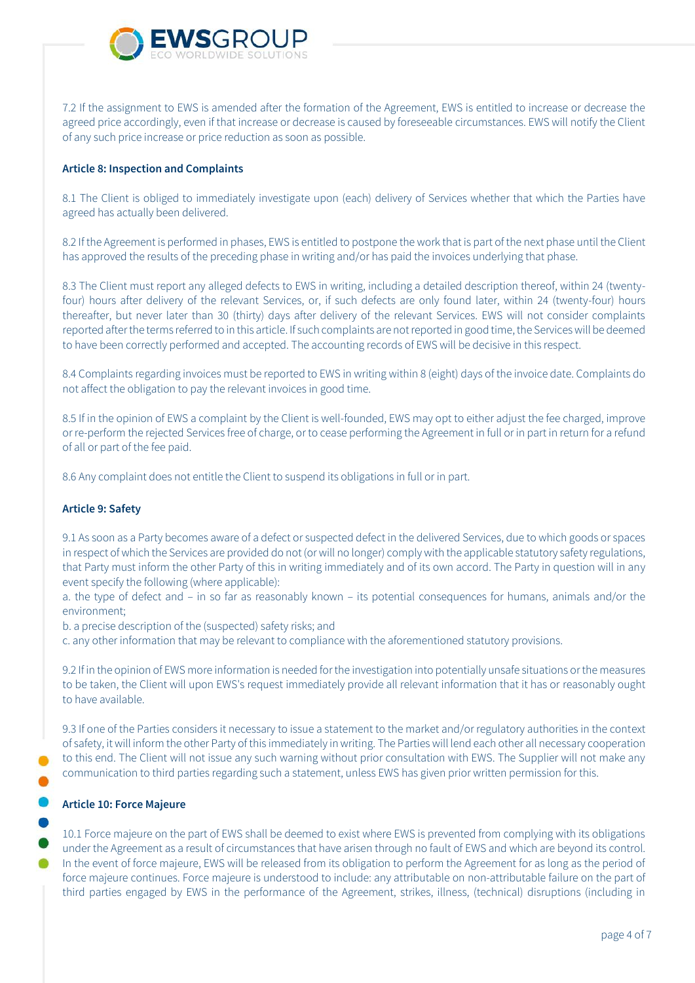

7.2 If the assignment to EWS is amended after the formation of the Agreement, EWS is entitled to increase or decrease the agreed price accordingly, even if that increase or decrease is caused by foreseeable circumstances. EWS will notify the Client of any such price increase or price reduction as soon as possible.

# **Article 8: Inspection and Complaints**

8.1 The Client is obliged to immediately investigate upon (each) delivery of Services whether that which the Parties have agreed has actually been delivered.

8.2 If the Agreement is performed in phases, EWS is entitled to postpone the work that is part of the next phase until the Client has approved the results of the preceding phase in writing and/or has paid the invoices underlying that phase.

8.3 The Client must report any alleged defects to EWS in writing, including a detailed description thereof, within 24 (twentyfour) hours after delivery of the relevant Services, or, if such defects are only found later, within 24 (twenty-four) hours thereafter, but never later than 30 (thirty) days after delivery of the relevant Services. EWS will not consider complaints reported after the terms referred to in this article. If such complaints are not reported in good time, the Services will be deemed to have been correctly performed and accepted. The accounting records of EWS will be decisive in this respect.

8.4 Complaints regarding invoices must be reported to EWS in writing within 8 (eight) days of the invoice date. Complaints do not affect the obligation to pay the relevant invoices in good time.

8.5 If in the opinion of EWS a complaint by the Client is well-founded, EWS may opt to either adjust the fee charged, improve or re-perform the rejected Services free of charge, or to cease performing the Agreement in full or in part in return for a refund of all or part of the fee paid.

8.6 Any complaint does not entitle the Client to suspend its obligations in full or in part.

# **Article 9: Safety**

9.1 As soon as a Party becomes aware of a defect or suspected defect in the delivered Services, due to which goods or spaces in respect of which the Services are provided do not (or will no longer) comply with the applicable statutory safety regulations, that Party must inform the other Party of this in writing immediately and of its own accord. The Party in question will in any event specify the following (where applicable):

a. the type of defect and – in so far as reasonably known – its potential consequences for humans, animals and/or the environment;

b. a precise description of the (suspected) safety risks; and

c. any other information that may be relevant to compliance with the aforementioned statutory provisions.

9.2 If in the opinion of EWS more information is needed for the investigation into potentially unsafe situations or the measures to be taken, the Client will upon EWS's request immediately provide all relevant information that it has or reasonably ought to have available.

9.3 If one of the Parties considers it necessary to issue a statement to the market and/or regulatory authorities in the context of safety, it will inform the other Party of this immediately in writing. The Parties will lend each other all necessary cooperation to this end. The Client will not issue any such warning without prior consultation with EWS. The Supplier will not make any communication to third parties regarding such a statement, unless EWS has given prior written permission for this.

### **Article 10: Force Majeure**

10.1 Force majeure on the part of EWS shall be deemed to exist where EWS is prevented from complying with its obligations under the Agreement as a result of circumstances that have arisen through no fault of EWS and which are beyond its control. In the event of force majeure, EWS will be released from its obligation to perform the Agreement for as long as the period of force majeure continues. Force majeure is understood to include: any attributable on non-attributable failure on the part of third parties engaged by EWS in the performance of the Agreement, strikes, illness, (technical) disruptions (including in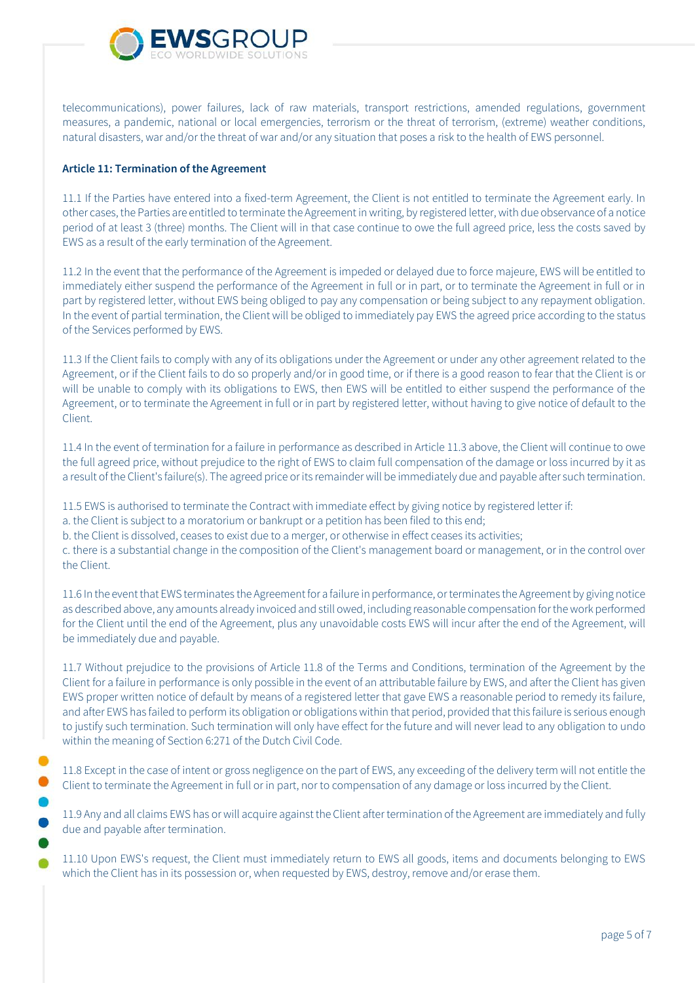

telecommunications), power failures, lack of raw materials, transport restrictions, amended regulations, government measures, a pandemic, national or local emergencies, terrorism or the threat of terrorism, (extreme) weather conditions, natural disasters, war and/or the threat of war and/or any situation that poses a risk to the health of EWS personnel.

# **Article 11: Termination of the Agreement**

11.1 If the Parties have entered into a fixed-term Agreement, the Client is not entitled to terminate the Agreement early. In other cases, the Parties are entitled to terminate the Agreement in writing, by registered letter, with due observance of a notice period of at least 3 (three) months. The Client will in that case continue to owe the full agreed price, less the costs saved by EWS as a result of the early termination of the Agreement.

11.2 In the event that the performance of the Agreement is impeded or delayed due to force majeure, EWS will be entitled to immediately either suspend the performance of the Agreement in full or in part, or to terminate the Agreement in full or in part by registered letter, without EWS being obliged to pay any compensation or being subject to any repayment obligation. In the event of partial termination, the Client will be obliged to immediately pay EWS the agreed price according to the status of the Services performed by EWS.

11.3 If the Client fails to comply with any of its obligations under the Agreement or under any other agreement related to the Agreement, or if the Client fails to do so properly and/or in good time, or if there is a good reason to fear that the Client is or will be unable to comply with its obligations to EWS, then EWS will be entitled to either suspend the performance of the Agreement, or to terminate the Agreement in full or in part by registered letter, without having to give notice of default to the Client.

11.4 In the event of termination for a failure in performance as described in Article 11.3 above, the Client will continue to owe the full agreed price, without prejudice to the right of EWS to claim full compensation of the damage or loss incurred by it as a result of the Client's failure(s). The agreed price or its remainder will be immediately due and payable after such termination.

11.5 EWS is authorised to terminate the Contract with immediate effect by giving notice by registered letter if:

a. the Client is subject to a moratorium or bankrupt or a petition has been filed to this end;

b. the Client is dissolved, ceases to exist due to a merger, or otherwise in effect ceases its activities;

c. there is a substantial change in the composition of the Client's management board or management, or in the control over the Client.

11.6 In the event that EWS terminates the Agreement for a failure in performance, or terminates the Agreement by giving notice as described above, any amounts already invoiced and still owed, including reasonable compensation for the work performed for the Client until the end of the Agreement, plus any unavoidable costs EWS will incur after the end of the Agreement, will be immediately due and payable.

11.7 Without prejudice to the provisions of Article 11.8 of the Terms and Conditions, termination of the Agreement by the Client for a failure in performance is only possible in the event of an attributable failure by EWS, and after the Client has given EWS proper written notice of default by means of a registered letter that gave EWS a reasonable period to remedy its failure, and after EWS has failed to perform its obligation or obligations within that period, provided that this failure is serious enough to justify such termination. Such termination will only have effect for the future and will never lead to any obligation to undo within the meaning of Section 6:271 of the Dutch Civil Code.

11.8 Except in the case of intent or gross negligence on the part of EWS, any exceeding of the delivery term will not entitle the Client to terminate the Agreement in full or in part, nor to compensation of any damage or loss incurred by the Client.

11.9 Any and all claims EWS has or will acquire against the Client after termination of the Agreement are immediately and fully due and payable after termination.

11.10 Upon EWS's request, the Client must immediately return to EWS all goods, items and documents belonging to EWS which the Client has in its possession or, when requested by EWS, destroy, remove and/or erase them.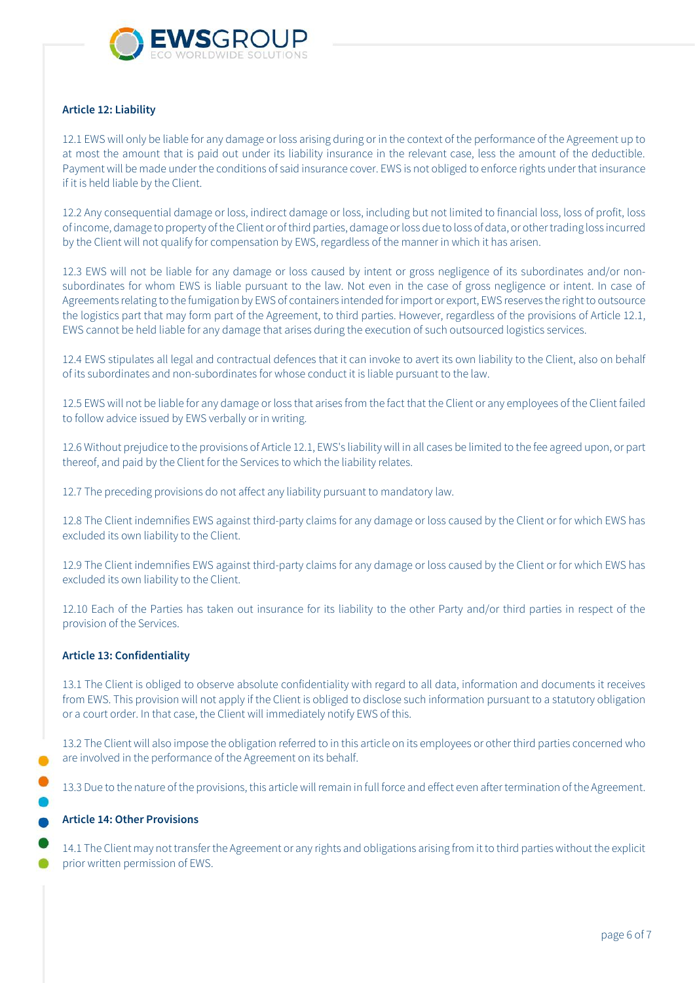

# **Article 12: Liability**

12.1 EWS will only be liable for any damage or loss arising during or in the context of the performance of the Agreement up to at most the amount that is paid out under its liability insurance in the relevant case, less the amount of the deductible. Payment will be made under the conditions of said insurance cover. EWS is not obliged to enforce rights under that insurance if it is held liable by the Client.

12.2 Any consequential damage or loss, indirect damage or loss, including but not limited to financial loss, loss of profit, loss of income, damage to property of the Client or of third parties, damage or loss due to loss of data, or other trading loss incurred by the Client will not qualify for compensation by EWS, regardless of the manner in which it has arisen.

12.3 EWS will not be liable for any damage or loss caused by intent or gross negligence of its subordinates and/or nonsubordinates for whom EWS is liable pursuant to the law. Not even in the case of gross negligence or intent. In case of Agreements relating to the fumigation by EWS of containers intended for import or export, EWS reserves the right to outsource the logistics part that may form part of the Agreement, to third parties. However, regardless of the provisions of Article 12.1, EWS cannot be held liable for any damage that arises during the execution of such outsourced logistics services.

12.4 EWS stipulates all legal and contractual defences that it can invoke to avert its own liability to the Client, also on behalf of its subordinates and non-subordinates for whose conduct it is liable pursuant to the law.

12.5 EWS will not be liable for any damage or loss that arises from the fact that the Client or any employees of the Client failed to follow advice issued by EWS verbally or in writing.

12.6 Without prejudice to the provisions of Article 12.1, EWS's liability will in all cases be limited to the fee agreed upon, or part thereof, and paid by the Client for the Services to which the liability relates.

12.7 The preceding provisions do not affect any liability pursuant to mandatory law.

12.8 The Client indemnifies EWS against third-party claims for any damage or loss caused by the Client or for which EWS has excluded its own liability to the Client.

12.9 The Client indemnifies EWS against third-party claims for any damage or loss caused by the Client or for which EWS has excluded its own liability to the Client.

12.10 Each of the Parties has taken out insurance for its liability to the other Party and/or third parties in respect of the provision of the Services.

### **Article 13: Confidentiality**

13.1 The Client is obliged to observe absolute confidentiality with regard to all data, information and documents it receives from EWS. This provision will not apply if the Client is obliged to disclose such information pursuant to a statutory obligation or a court order. In that case, the Client will immediately notify EWS of this.

13.2 The Client will also impose the obligation referred to in this article on its employees or other third parties concerned who are involved in the performance of the Agreement on its behalf.

13.3 Due to the nature of the provisions, this article will remain in full force and effect even after termination of the Agreement.

# **Article 14: Other Provisions**

14.1 The Client may not transfer the Agreement or any rights and obligations arising from it to third parties without the explicit prior written permission of EWS.